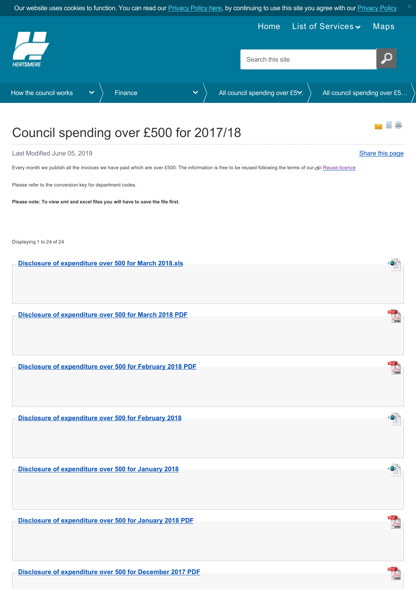<span id="page-0-0"></span>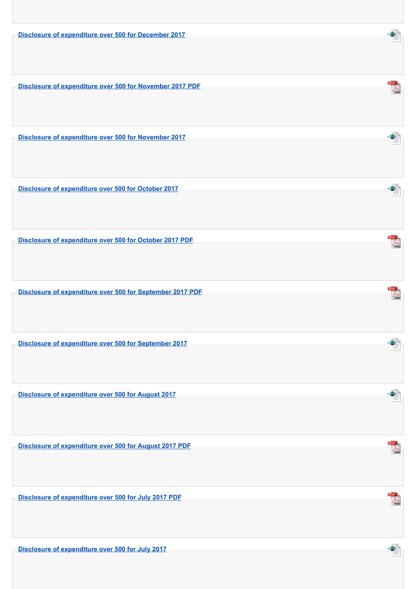**[Disclosure of expenditure over 500 for December 2017](https://www.hertsmere.gov.uk/Documents/11-Your-Council/How-the-council-works/Finance/Disclosure-of-Expenditure-over-500/2017-18/Disclosure-of-expenditure-over-500-for-December-2017.xml)**

**[Disclosure of expenditure over 500 for November 2017 PDF](https://www.hertsmere.gov.uk/Documents/11-Your-Council/How-the-council-works/Finance/Disclosure-of-Expenditure-over-500/2017-18/Disclosure-of-expenditure-over-500-for-November-2017-PDF.pdf)**

**[Disclosure of expenditure over 500 for November 2017](https://www.hertsmere.gov.uk/Documents/11-Your-Council/How-the-council-works/Finance/Disclosure-of-Expenditure-over-500/2017-18/Disclosure-of-expenditure-over-500-for-November-2017.xml)**

**[Disclosure of expenditure over 500 for October 2017](https://www.hertsmere.gov.uk/Documents/11-Your-Council/How-the-council-works/Finance/Disclosure-of-Expenditure-over-500/2017-18/Disclosure-of-expenditure-over-500-for-October-2017.xml)**

**[Disclosure of expenditure over 500 for October 2017 PDF](https://www.hertsmere.gov.uk/Documents/11-Your-Council/How-the-council-works/Finance/Disclosure-of-Expenditure-over-500/2017-18/Disclosure-of-expenditure-over-500-for-October-2017-PDF.pdf)**

**[Disclosure of expenditure over 500 for September 2017 PDF](https://www.hertsmere.gov.uk/Documents/11-Your-Council/How-the-council-works/Finance/Disclosure-of-Expenditure-over-500/2017-18/Disclosure-of-expenditure-over-500-for-September-2017-PDF.pdf)**

**[Disclosure of expenditure over 500 for September 2017](https://www.hertsmere.gov.uk/Documents/11-Your-Council/How-the-council-works/Finance/Disclosure-of-Expenditure-over-500/2017-18/Disclosure-of-expenditure-over-500-for-September-2017.xml)**

**[Disclosure of expenditure over 500 for August 2017](https://www.hertsmere.gov.uk/Documents/11-Your-Council/How-the-council-works/Finance/Disclosure-of-Expenditure-over-500/2017-18/Disclosure-of-expenditure-over-500-for-August-2017.xml)**

**[Disclosure of expenditure over 500 for August 2017 PDF](https://www.hertsmere.gov.uk/Documents/11-Your-Council/How-the-council-works/Finance/Disclosure-of-Expenditure-over-500/2017-18/Disclosure-of-expenditure-over-500-for-August-2017-PDF.pdf)**

**[Disclosure of expenditure over 500 for July 2017 PDF](https://www.hertsmere.gov.uk/Documents/11-Your-Council/How-the-council-works/Finance/Disclosure-of-Expenditure-over-500/2017-18/Disclosure-of-expenditure-over-500-for-July-2017-PDF.pdf)**